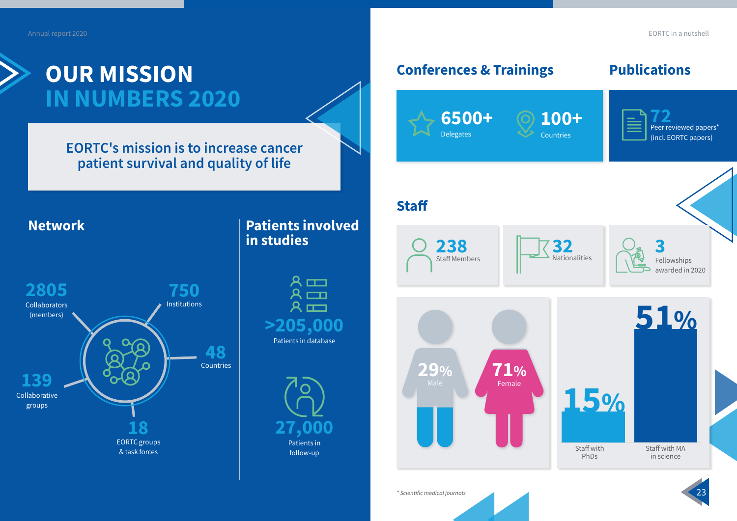**EORTC's mission is to increase cancer patient survival and quality of life**

#### **Conferences & Trainings Publications**



# **OUR MISSION IN NUMBERS 2020**



### **Patients involved in studies**

### **Staff**

## **Collaborators** (members) Collaborative groups **Institutions** Countries EORTC groups & task forces **2805 139 750 48 18 Network**

 $\sim$  23  $\sim$  23  $\sim$  23  $\sim$  23  $\sim$  23  $\sim$  23  $\sim$  23  $\sim$  23  $\sim$  23  $\sim$  23  $\sim$  23  $\sim$  23  $\sim$  23  $\sim$  23  $\sim$  23  $\sim$  23  $\sim$  23  $\sim$  23  $\sim$  23  $\sim$  23  $\sim$  23  $\sim$  23  $\sim$  23  $\sim$  23  $\sim$  23  $\sim$  23  $\sim$  23  $\sim$  *\* Scientific medical journals*



**238**